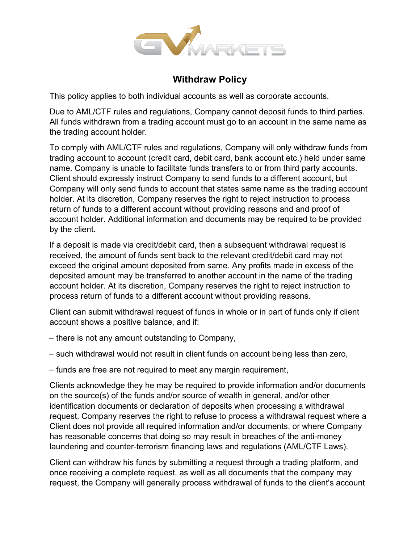

## **Withdraw Policy**

This policy applies to both individual accounts as well as corporate accounts.

Due to AML/CTF rules and regulations, Company cannot deposit funds to third parties. All funds withdrawn from a trading account must go to an account in the same name as the trading account holder.

To comply with AML/CTF rules and regulations, Company will only withdraw funds from trading account to account (credit card, debit card, bank account etc.) held under same name. Company is unable to facilitate funds transfers to or from third party accounts. Client should expressly instruct Company to send funds to a different account, but Company will only send funds to account that states same name as the trading account holder. At its discretion, Company reserves the right to reject instruction to process return of funds to a different account without providing reasons and and proof of account holder. Additional information and documents may be required to be provided by the client.

If a deposit is made via credit/debit card, then a subsequent withdrawal request is received, the amount of funds sent back to the relevant credit/debit card may not exceed the original amount deposited from same. Any profits made in excess of the deposited amount may be transferred to another account in the name of the trading account holder. At its discretion, Company reserves the right to reject instruction to process return of funds to a different account without providing reasons.

Client can submit withdrawal request of funds in whole or in part of funds only if client account shows a positive balance, and if:

- ⎯ there is not any amount outstanding to Company,
- ⎯ such withdrawal would not result in client funds on account being less than zero,
- funds are free are not required to meet any margin requirement,

Clients acknowledge they he may be required to provide information and/or documents on the source(s) of the funds and/or source of wealth in general, and/or other identification documents or declaration of deposits when processing a withdrawal request. Company reserves the right to refuse to process a withdrawal request where a Client does not provide all required information and/or documents, or where Company has reasonable concerns that doing so may result in breaches of the anti-money laundering and counter-terrorism financing laws and regulations (AML/CTF Laws).

Client can withdraw his funds by submitting a request through a trading platform, and once receiving a complete request, as well as all documents that the company may request, the Company will generally process withdrawal of funds to the client's account